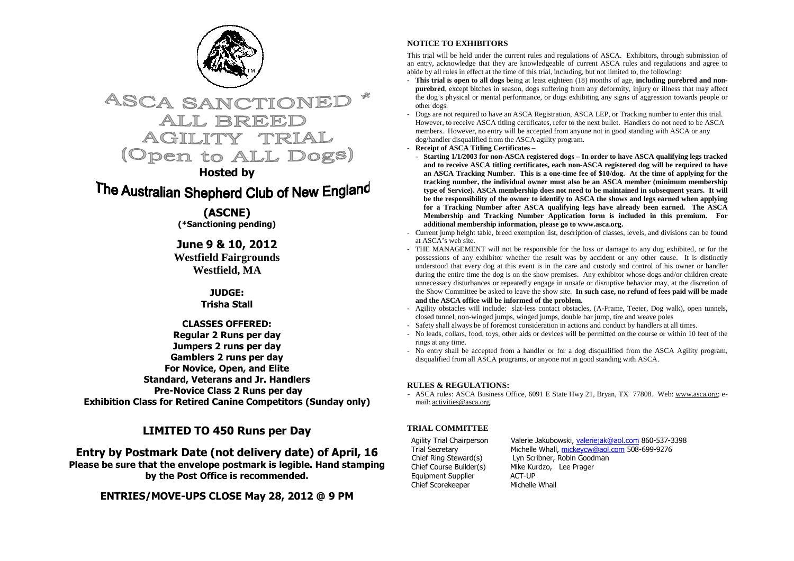



### **Hosted by**

# The Australian Shepherd Club of New England

**(ASCNE) (\*Sanctioning pending)** 

**June 9 & 10, 2012 Westfield Fairgrounds Westfield, MA**

#### **JUDGE: Trisha Stall**

#### **CLASSES OFFERED: Regular 2 Runs per day Jumpers 2 runs per day Gamblers 2 runs per day For Novice, Open, and Elite Standard, Veterans and Jr. Handlers Pre-Novice Class 2 Runs per day Exhibition Class for Retired Canine Competitors (Sunday only)**

### **LIMITED TO 450 Runs per Day**

**Entry by Postmark Date (not delivery date) of April, 16 Please be sure that the envelope postmark is legible. Hand stamping by the Post Office is recommended.** 

**ENTRIES/MOVE-UPS CLOSE May 28, 2012 @ 9 PM** 

#### **NOTICE TO EXHIBITORS**

This trial will be held under the current rules and regulations of ASCA. Exhibitors, through submission of an entry, acknowledge that they are knowledgeable of current ASCA rules and regulations and agree to abide by all rules in effect at the time of this trial, including, but not limited to, the following:

- **This trial is open to all dogs** being at least eighteen (18) months of age, **including purebred and nonpurebred**, except bitches in season, dogs suffering from any deformity, injury or illness that may affect the dog's physical or mental performance, or dogs exhibiting any signs of aggression towards people orother dogs.
- Dogs are not required to have an ASCA Registration, ASCA LEP, or Tracking number to enter this trial. However, to receive ASCA titling certificates, refer to the next bullet. Handlers do not need to be ASCA members. However, no entry will be accepted from anyone not in good standing with ASCA or any dog/handler disqualified from the ASCA agility program.
- **Receipt of ASCA Titling Certificates**
- **Starting 1/1/2003 for non-ASCA registered dogs In order to have ASCA qualifying legs tracked and to receive ASCA titling certificates, each non-ASCA registered dog will be required to have an ASCA Tracking Number. This is a one-time fee of \$10/dog. At the time of applying for the tracking number, the individual owner must also be an ASCA member (minimum membership type of Service). ASCA membership does not need to be maintained in subsequent years. It will be the responsibility of the owner to identify to ASCA the shows and legs earned when applying for a Tracking Number after ASCA qualifying legs have already been earned. The ASCA Membership and Tracking Number Application form is included in this premium. For additional membership information, please go to www.asca.org.**
- Current jump height table, breed exemption list, description of classes, levels, and divisions can be found at ASCA's web site.
- THE MANAGEMENT will not be responsible for the loss or damage to any dog exhibited, or for the possessions of any exhibitor whether the result was by accident or any other cause. It is distinctly understood that every dog at this event is in the care and custody and control of his owner or handler during the entire time the dog is on the show premises. Any exhibitor whose dogs and/or children create unnecessary disturbances or repeatedly engage in unsafe or disruptive behavior may, at the discretion of the Show Committee be asked to leave the show site. **In such case, no refund of fees paid will be made and the ASCA office will be informed of the problem.**
- Agility obstacles will include: slat-less contact obstacles, (A-Frame, Teeter, Dog walk), open tunnels, closed tunnel, non-winged jumps, winged jumps, double bar jump, tire and weave poles
- Safety shall always be of foremost consideration in actions and conduct by handlers at all times.
- No leads, collars, food, toys, other aids or devices will be permitted on the course or within 10 feet of the rings at any time.
- No entry shall be accepted from a handler or for a dog disqualified from the ASCA Agility program, disqualified from all ASCA programs, or anyone not in good standing with ASCA.

#### **RULES & REGULATIONS:**

- ASCA rules: ASCA Business Office, 6091 E State Hwy 21, Bryan, TX 77808. Web: www.asca.org; email: activities@asca.org.

#### **TRIAL COMMITTEE**

Equipment Supplier Chief Scorekeeper

Agility Trial Chairperson Valerie Jakubowski, valeriejak@aol.com 860-537-3398 Trial Secretary Michelle Whall, mickeycw@aol.com 508-699-9276 Chief Ring Steward(s) Lyn Scribner, Robin Goodman Chief Course Builder(s) Mike Kurdzo, Lee Prager Michelle Whall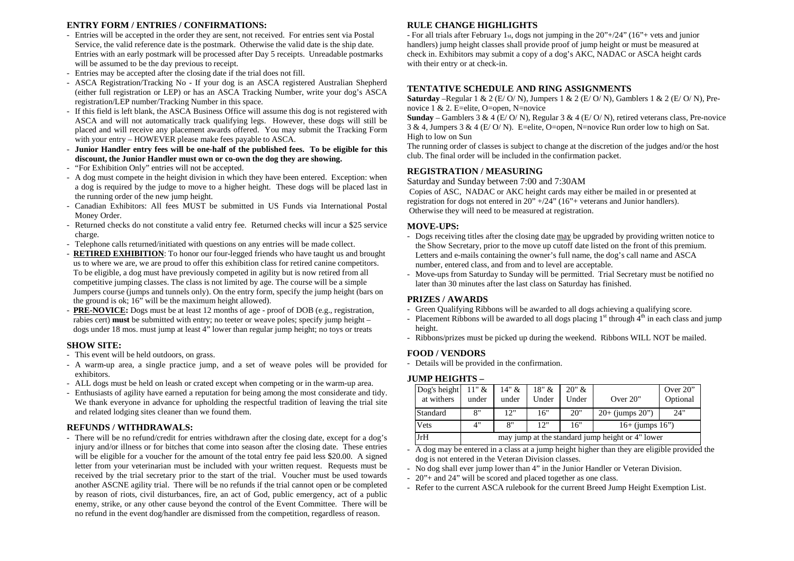#### **ENTRY FORM / ENTRIES / CONFIRMATIONS:**

- Entries will be accepted in the order they are sent, not received. For entries sent via Postal Service, the valid reference date is the postmark. Otherwise the valid date is the ship date. Entries with an early postmark will be processed after Day 5 receipts. Unreadable postmarks will be assumed to be the day previous to receipt.
- Entries may be accepted after the closing date if the trial does not fill.
- ASCA Registration/Tracking No If your dog is an ASCA registered Australian Shepherd (either full registration or LEP) or has an ASCA Tracking Number, write your dog's ASCA registration/LEP number/Tracking Number in this space.
- If this field is left blank, the ASCA Business Office will assume this dog is not registered with ASCA and will not automatically track qualifying legs. However, these dogs will still be placed and will receive any placement awards offered. You may submit the Tracking Form with your entry – HOWEVER please make fees payable to ASCA.
- **Junior Handler entry fees will be one-half of the published fees. To be eligible for this discount, the Junior Handler must own or co-own the dog they are showing.**
- "For Exhibition Only" entries will not be accepted.
- A dog must compete in the height division in which they have been entered. Exception: when a dog is required by the judge to move to a higher height. These dogs will be placed last in the running order of the new jump height.
- Canadian Exhibitors: All fees MUST be submitted in US Funds via International Postal Money Order.
- Returned checks do not constitute a valid entry fee. Returned checks will incur a \$25 service charge.
- Telephone calls returned/initiated with questions on any entries will be made collect.
- **RETIRED EXHIBITION**: To honor our four-legged friends who have taught us and brought us to where we are, we are proud to offer this exhibition class for retired canine competitors. To be eligible, a dog must have previously competed in agility but is now retired from all competitive jumping classes. The class is not limited by age. The course will be a simple Jumpers course (jumps and tunnels only). On the entry form, specify the jump height (bars on the ground is ok; 16" will be the maximum height allowed).
- **PRE-NOVICE:** Dogs must be at least 12 months of age proof of DOB (e.g., registration, rabies cert) **must** be submitted with entry; no teeter or weave poles; specify jump height – dogs under 18 mos. must jump at least 4" lower than regular jump height; no toys or treats

#### **SHOW SITE:**

- This event will be held outdoors, on grass.
- A warm-up area, a single practice jump, and a set of weave poles will be provided for exhibitors.
- ALL dogs must be held on leash or crated except when competing or in the warm-up area.
- Enthusiasts of agility have earned a reputation for being among the most considerate and tidy. We thank everyone in advance for upholding the respectful tradition of leaving the trial site and related lodging sites cleaner than we found them.

#### **REFUNDS / WITHDRAWALS:**

 - There will be no refund/credit for entries withdrawn after the closing date, except for a dog's injury and/or illness or for bitches that come into season after the closing date. These entries will be eligible for a voucher for the amount of the total entry fee paid less \$20.00. A signed letter from your veterinarian must be included with your written request. Requests must be received by the trial secretary prior to the start of the trial. Voucher must be used towards another ASCNE agility trial. There will be no refunds if the trial cannot open or be completed by reason of riots, civil disturbances, fire, an act of God, public emergency, act of a public enemy, strike, or any other cause beyond the control of the Event Committee. There will be no refund in the event dog/handler are dismissed from the competition, regardless of reason.

#### **RULE CHANGE HIGHLIGHTS**

 - For all trials after February 1st, dogs not jumping in the 20"+/24" (16"+ vets and junior handlers) jump height classes shall provide proof of jump height or must be measured at check in. Exhibitors may submit a copy of a dog's AKC, NADAC or ASCA height cards with their entry or at check-in.

#### **TENTATIVE SCHEDULE AND RING ASSIGNMENTS**

 **Saturday** –Regular 1 & 2 (E/ O/ N), Jumpers 1 & 2 (E/ O/ N), Gamblers 1 & 2 (E/ O/ N), Prenovice 1 & 2. E=elite, O=open, N=novice

 **Sunday** – Gamblers 3 & 4 (E/ O/ N), Regular 3 & 4 (E/ O/ N), retired veterans class, Pre-novice  $3 \& 4$ , Jumpers  $3 \& 4$  (E/O/N). E=elite, O=open, N=novice Run order low to high on Sat. High to low on Sun

 The running order of classes is subject to change at the discretion of the judges and/or the host club. The final order will be included in the confirmation packet.

#### **REGISTRATION / MEASURING**

Saturday and Sunday between 7:00 and 7:30AM

 Copies of ASC, NADAC or AKC height cards may either be mailed in or presented at registration for dogs not entered in  $20" +/24"$  (16"+ veterans and Junior handlers). Otherwise they will need to be measured at registration.

#### **MOVE-UPS:**

- Dogs receiving titles after the closing date may be upgraded by providing written notice to the Show Secretary, prior to the move up cutoff date listed on the front of this premium. Letters and e-mails containing the owner's full name, the dog's call name and ASCA number, entered class, and from and to level are acceptable.
- Move-ups from Saturday to Sunday will be permitted. Trial Secretary must be notified no later than 30 minutes after the last class on Saturday has finished.

#### **PRIZES / AWARDS**

- Green Qualifying Ribbons will be awarded to all dogs achieving a qualifying score.
- Placement Ribbons will be awarded to all dogs placing  $1<sup>st</sup>$  through  $4<sup>th</sup>$  in each class and jump height.
- Ribbons/prizes must be picked up during the weekend. Ribbons WILL NOT be mailed.

#### **FOOD / VENDORS**

- Details will be provided in the confirmation.

#### **JUMP HEIGHTS –**

| Dog's height<br>at withers | $11"$ &<br>under                                 | 14" &<br>under | 18" &<br>Under | 20" &<br>Under | Over 20"             | Over $20$ "<br>Optional |  |  |
|----------------------------|--------------------------------------------------|----------------|----------------|----------------|----------------------|-------------------------|--|--|
| Standard                   | 8"                                               | 12"            | 16"            | 20"            | $20+$ (jumps $20$ ") | 24"                     |  |  |
| Vets                       | 4"                                               | 8"             | 12"            | 16"            | $16+$ (jumps $16"$ ) |                         |  |  |
| JrH                        | may jump at the standard jump height or 4" lower |                |                |                |                      |                         |  |  |

- A dog may be entered in a class at a jump height higher than they are eligible provided the dog is not entered in the Veteran Division classes.

- No dog shall ever jump lower than 4" in the Junior Handler or Veteran Division.

- 20"+ and 24" will be scored and placed together as one class.
- Refer to the current ASCA rulebook for the current Breed Jump Height Exemption List.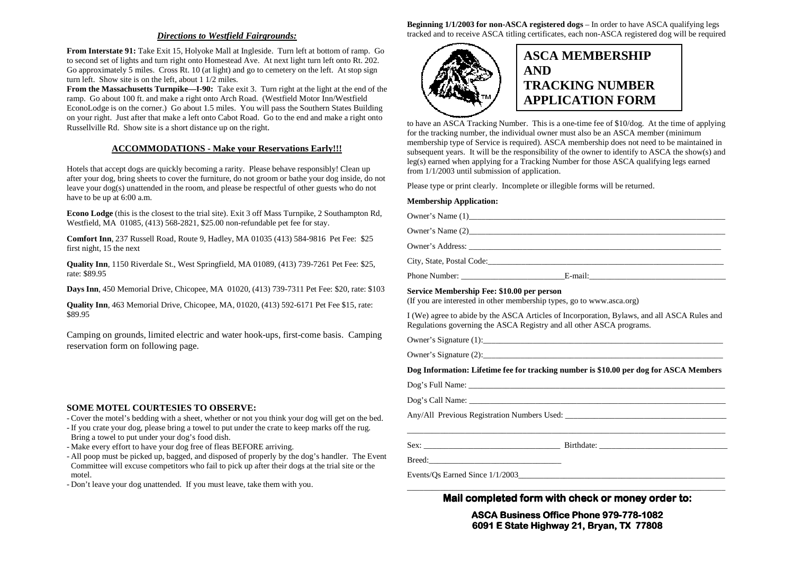#### *Directions to Westfield Fairgrounds:*

**From Interstate 91:** Take Exit 15, Holyoke Mall at Ingleside. Turn left at bottom of ramp. Go to second set of lights and turn right onto Homestead Ave. At next light turn left onto Rt. 202. Go approximately 5 miles. Cross Rt. 10 (at light) and go to cemetery on the left. At stop sign turn left. Show site is on the left, about 1 1/2 miles.

 **From the Massachusetts Turnpike—I-90:** Take exit 3. Turn right at the light at the end of the ramp. Go about 100 ft. and make a right onto Arch Road. (Westfield Motor Inn/Westfield EconoLodge is on the corner.) Go about 1.5 miles. You will pass the Southern States Building on your right. Just after that make a left onto Cabot Road. Go to the end and make a right onto Russellville Rd. Show site is a short distance up on the right.

#### **ACCOMMODATIONS - Make your Reservations Early!!!**

Hotels that accept dogs are quickly becoming a rarity. Please behave responsibly! Clean up after your dog, bring sheets to cover the furniture, do not groom or bathe your dog inside, do not leave your dog(s) unattended in the room, and please be respectful of other guests who do not have to be up at 6:00 a.m.

**Econo Lodge** (this is the closest to the trial site). Exit 3 off Mass Turnpike, 2 Southampton Rd, Westfield, MA 01085, (413) 568-2821, \$25.00 non-refundable pet fee for stay.

**Comfort Inn**, 237 Russell Road, Route 9, Hadley, MA 01035 (413) 584-9816 Pet Fee: \$25 first night, 15 the next

**Quality Inn**, 1150 Riverdale St., West Springfield, MA 01089, (413) 739-7261 Pet Fee: \$25, rate: \$89.95

**Days Inn**, 450 Memorial Drive, Chicopee, MA 01020, (413) 739-7311 Pet Fee: \$20, rate: \$103

**Quality Inn**, 463 Memorial Drive, Chicopee, MA, 01020, (413) 592-6171 Pet Fee \$15, rate: \$89.95

Camping on grounds, limited electric and water hook-ups, first-come basis. Camping reservation form on following page.

#### **SOME MOTEL COURTESIES TO OBSERVE:**

- Cover the motel's bedding with a sheet, whether or not you think your dog will get on the bed.

- If you crate your dog, please bring a towel to put under the crate to keep marks off the rug. Bring a towel to put under your dog's food dish.

- Make every effort to have your dog free of fleas BEFORE arriving.

- All poop must be picked up, bagged, and disposed of properly by the dog's handler. The Event Committee will excuse competitors who fail to pick up after their dogs at the trial site or the motel.

- Don't leave your dog unattended. If you must leave, take them with you.

**Beginning 1/1/2003 for non-ASCA registered dogs** – In order to have ASCA qualifying legs tracked and to receive ASCA titling certificates, each non-ASCA registered dog will be required



## **ASCA MEMBERSHIP AND TRACKING NUMBER APPLICATION FORM**

to have an ASCA Tracking Number. This is a one-time fee of \$10/dog. At the time of applying for the tracking number, the individual owner must also be an ASCA member (minimum membership type of Service is required). ASCA membership does not need to be maintained in subsequent years. It will be the responsibility of the owner to identify to ASCA the show(s) and leg(s) earned when applying for a Tracking Number for those ASCA qualifying legs earned from 1/1/2003 until submission of application.

Please type or print clearly. Incomplete or illegible forms will be returned.

#### **Membership Application:**

Owner's Name  $(1)$ Owner's Name (2) Owner's Address: City, State, Postal Code: Phone Number: \_\_\_\_\_\_\_\_\_\_\_\_\_\_\_\_\_\_\_\_\_\_\_\_\_E-mail:\_\_\_\_\_\_\_\_\_\_\_\_\_\_\_\_\_\_\_\_\_\_\_\_\_\_\_\_\_\_\_\_\_

#### **Service Membership Fee: \$10.00 per person**

(If you are interested in other membership types, go to www.asca.org)

I (We) agree to abide by the ASCA Articles of Incorporation, Bylaws, and all ASCA Rules and Regulations governing the ASCA Registry and all other ASCA programs.

Owner's Signature (1):\_\_\_\_\_\_\_\_\_\_\_\_\_\_\_\_\_\_\_\_\_\_\_\_\_\_\_\_\_\_\_\_\_\_\_\_\_\_\_\_\_\_\_\_\_\_\_\_\_\_\_\_\_\_\_\_\_\_

Owner's Signature  $(2)$ :

**Dog Information: Lifetime fee for tracking number is \$10.00 per dog for ASCA Members** 

| Dog's Full Name: |  |
|------------------|--|
|                  |  |

Dog's Call Name: \_\_\_\_\_\_\_\_\_\_\_\_\_\_\_\_\_\_\_\_\_\_\_\_\_\_\_\_\_\_\_\_\_\_\_\_\_\_\_\_\_\_\_\_\_\_\_\_\_\_\_\_\_\_\_\_\_\_\_\_\_\_

Any/All Previous Registration Numbers Used: \_\_\_\_\_\_\_\_\_\_\_\_\_\_\_\_\_\_\_\_\_\_\_\_\_\_\_\_\_\_\_\_\_\_\_\_\_\_\_ \_\_\_\_\_\_\_\_\_\_\_\_\_\_\_\_\_\_\_\_\_\_\_\_\_\_\_\_\_\_\_\_\_\_\_\_\_\_\_\_\_\_\_\_\_\_\_\_\_\_\_\_\_\_\_\_\_\_\_\_\_\_\_\_\_\_\_\_\_\_\_\_\_\_\_\_\_

Sex: \_\_\_\_\_\_\_\_\_\_\_\_\_\_\_\_\_\_\_\_\_\_\_\_\_\_\_\_\_\_\_\_\_ Birthdate: \_\_\_\_\_\_\_\_\_\_\_\_\_\_\_\_\_\_\_\_\_\_\_\_\_\_\_\_\_\_\_

Breed:\_\_\_\_\_\_\_\_\_\_\_\_\_\_\_\_\_\_\_\_\_\_\_\_\_\_\_\_\_\_\_\_

Events/Os Earned Since  $1/1/2003$ 

**Mail completed form with check or money order to:** 

**ASCA Business Office Phone 979- Office 979-778-1082 6091 E State Highway 21, Bryan, TX 77808 Highway 77808**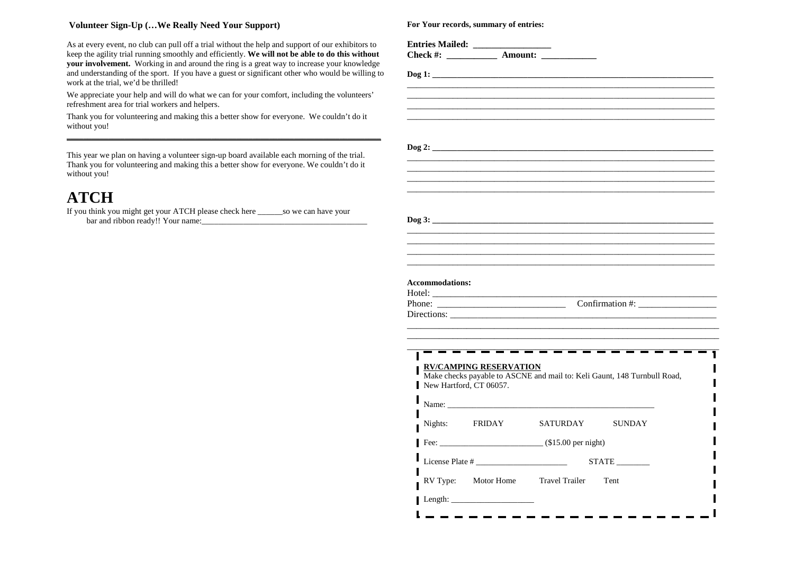#### **Volunteer Sign-Up (…We Really Need Your Support)**

As at every event, no club can pull off a trial without the help and support of our exhibitors to keep the agility trial running smoothly and efficiently. **We will not be able to do this without your involvement.** Working in and around the ring is a great way to increase your knowledge and understanding of the sport. If you have a guest or significant other who would be willing to work at the trial, we'd be thrilled!

We appreciate your help and will do what we can for your comfort, including the volunteers' refreshment area for trial workers and helpers.

Thank you for volunteering and making this a better show for everyone. We couldn't do it without you!

This year we plan on having a volunteer sign-up board available each morning of the trial. Thank you for volunteering and making this a better show for everyone. We couldn't do it without you!

# **ATCH**

 If you think you might get your ATCH please check here \_\_\_\_\_\_so we can have your bar and ribbon ready!! Your name:\_\_\_\_\_\_\_\_\_\_\_\_\_\_\_\_\_\_\_\_\_\_\_\_\_\_\_\_\_\_\_\_\_\_\_\_\_\_\_\_

**Entries Mailed: \_\_\_\_\_\_\_\_\_\_\_\_\_\_\_\_\_** Check #: \_\_\_\_\_\_\_\_\_\_\_\_ Amount: \_\_\_\_\_\_\_\_\_\_\_\_\_ **Dog 1: \_\_\_\_\_\_\_\_\_\_\_\_\_\_\_\_\_\_\_\_\_\_\_\_\_\_\_\_\_\_\_\_\_\_\_\_\_\_\_\_\_\_\_\_\_\_\_\_\_\_\_\_\_\_\_\_\_\_\_\_\_\_\_\_\_\_\_\_** \_\_\_\_\_\_\_\_\_\_\_\_\_\_\_\_\_\_\_\_\_\_\_\_\_\_\_\_\_\_\_\_\_\_\_\_\_\_\_\_\_\_\_\_\_\_\_\_\_\_\_\_\_\_\_\_\_\_\_\_\_\_\_\_\_\_\_ \_\_\_\_\_\_\_\_\_\_\_\_\_\_\_\_\_\_\_\_\_\_\_\_\_\_\_\_\_\_\_\_\_\_\_\_\_\_\_\_\_\_\_\_\_\_\_\_\_\_\_\_\_\_\_\_\_\_\_\_\_\_\_\_\_\_\_ \_\_\_\_\_\_\_\_\_\_\_\_\_\_\_\_\_\_\_\_\_\_\_\_\_\_\_\_\_\_\_\_\_\_\_\_\_\_\_\_\_\_\_\_\_\_\_\_\_\_\_\_\_\_\_\_\_\_\_\_\_\_\_\_\_\_\_ \_\_\_\_\_\_\_\_\_\_\_\_\_\_\_\_\_\_\_\_\_\_\_\_\_\_\_\_\_\_\_\_\_\_\_\_\_\_\_\_\_\_\_\_\_\_\_\_\_\_\_\_\_\_\_\_\_\_\_\_\_\_\_\_\_\_\_  $\log 2$ : \_\_\_\_\_\_\_\_\_\_\_\_\_\_\_\_\_\_\_\_\_\_\_\_\_\_\_\_\_\_\_\_\_\_\_\_\_\_\_\_\_\_\_\_\_\_\_\_\_\_\_\_\_\_\_\_\_\_\_\_\_\_\_\_\_\_\_ \_\_\_\_\_\_\_\_\_\_\_\_\_\_\_\_\_\_\_\_\_\_\_\_\_\_\_\_\_\_\_\_\_\_\_\_\_\_\_\_\_\_\_\_\_\_\_\_\_\_\_\_\_\_\_\_\_\_\_\_\_\_\_\_\_\_\_ \_\_\_\_\_\_\_\_\_\_\_\_\_\_\_\_\_\_\_\_\_\_\_\_\_\_\_\_\_\_\_\_\_\_\_\_\_\_\_\_\_\_\_\_\_\_\_\_\_\_\_\_\_\_\_\_\_\_\_\_\_\_\_\_\_\_\_ \_\_\_\_\_\_\_\_\_\_\_\_\_\_\_\_\_\_\_\_\_\_\_\_\_\_\_\_\_\_\_\_\_\_\_\_\_\_\_\_\_\_\_\_\_\_\_\_\_\_\_\_\_\_\_\_\_\_\_\_\_\_\_\_\_\_\_  $\log 3:$ \_\_\_\_\_\_\_\_\_\_\_\_\_\_\_\_\_\_\_\_\_\_\_\_\_\_\_\_\_\_\_\_\_\_\_\_\_\_\_\_\_\_\_\_\_\_\_\_\_\_\_\_\_\_\_\_\_\_\_\_\_\_\_\_\_\_\_ \_\_\_\_\_\_\_\_\_\_\_\_\_\_\_\_\_\_\_\_\_\_\_\_\_\_\_\_\_\_\_\_\_\_\_\_\_\_\_\_\_\_\_\_\_\_\_\_\_\_\_\_\_\_\_\_\_\_\_\_\_\_\_\_\_\_\_ \_\_\_\_\_\_\_\_\_\_\_\_\_\_\_\_\_\_\_\_\_\_\_\_\_\_\_\_\_\_\_\_\_\_\_\_\_\_\_\_\_\_\_\_\_\_\_\_\_\_\_\_\_\_\_\_\_\_\_\_\_\_\_\_\_\_\_ \_\_\_\_\_\_\_\_\_\_\_\_\_\_\_\_\_\_\_\_\_\_\_\_\_\_\_\_\_\_\_\_\_\_\_\_\_\_\_\_\_\_\_\_\_\_\_\_\_\_\_\_\_\_\_\_\_\_\_\_\_\_\_\_\_\_\_ **Accommodations:** Hotel: Phone: \_\_\_\_\_\_\_\_\_\_\_\_\_\_\_\_\_\_\_\_\_\_\_\_\_\_\_\_ Confirmation #: \_\_\_\_\_\_\_\_\_\_\_\_\_\_\_\_\_ Directions: \_\_\_\_\_\_\_\_\_\_\_\_\_\_\_\_\_\_\_\_\_\_\_\_\_\_\_\_\_\_\_\_\_\_\_\_\_\_\_\_\_\_\_\_\_\_\_\_\_\_\_\_\_\_\_\_\_\_ \_\_\_\_\_\_\_\_\_\_\_\_\_\_\_\_\_\_\_\_\_\_\_\_\_\_\_\_\_\_\_\_\_\_\_\_\_\_\_\_\_\_\_\_\_\_\_\_\_\_\_\_\_\_\_\_\_\_\_\_\_\_\_\_\_\_\_\_ \_\_\_\_\_\_\_\_\_\_\_\_\_\_\_\_\_\_\_\_\_\_\_\_\_\_\_\_\_\_\_\_\_\_\_\_\_\_\_\_\_\_\_\_\_\_\_\_\_\_\_\_\_\_\_\_\_\_\_\_\_\_\_\_\_\_\_\_ \_\_\_\_\_\_\_\_\_\_\_\_\_\_\_\_\_\_\_\_\_\_\_\_\_\_\_\_\_\_\_\_\_\_\_\_\_\_\_\_\_\_\_\_\_\_\_\_\_\_\_\_\_\_\_\_\_\_\_\_\_\_\_\_\_\_\_\_ **RV/CAMPING RESERVATION** Make checks payable to ASCNE and mail to: Keli Gaunt, 148 Turnbull Road, New Hartford, CT 06057. Name: \_\_\_\_\_\_\_\_\_\_\_\_\_\_\_\_\_\_\_\_\_\_\_\_\_\_\_\_\_\_\_\_\_\_\_\_\_\_\_\_\_\_\_\_\_\_\_\_\_\_ Nights: FRIDAY SATURDAY SUNDAY Fee:  $(15.00 \text{ per night})$ License Plate # \_\_\_\_\_\_\_\_\_\_\_\_\_\_\_\_\_\_\_\_\_\_ STATE \_\_\_\_\_\_\_\_ RV Type: Motor Home Travel Trailer Tent Length: \_\_\_\_\_\_\_\_\_\_\_\_\_\_\_\_\_\_\_\_ -----------

**For Your records, summary of entries:**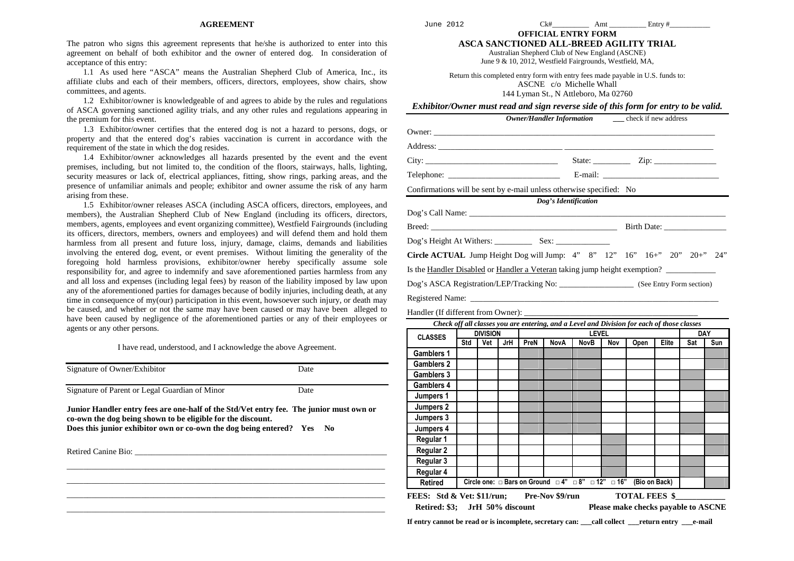#### **AGREEMENT**

The patron who signs this agreement represents that he/she is authorized to enter into this agreement on behalf of both exhibitor and the owner of entered dog. In consideration of acceptance of this entry:

 1.1 As used here "ASCA" means the Australian Shepherd Club of America, Inc., its affiliate clubs and each of their members, officers, directors, employees, show chairs, show committees, and agents.

 1.2 Exhibitor/owner is knowledgeable of and agrees to abide by the rules and regulations of ASCA governing sanctioned agility trials, and any other rules and regulations appearing in the premium for this event.

 1.3 Exhibitor/owner certifies that the entered dog is not a hazard to persons, dogs, or property and that the entered dog's rabies vaccination is current in accordance with the requirement of the state in which the dog resides.

 1.4 Exhibitor/owner acknowledges all hazards presented by the event and the event premises, including, but not limited to, the condition of the floors, stairways, halls, lighting, security measures or lack of, electrical appliances, fitting, show rings, parking areas, and the presence of unfamiliar animals and people; exhibitor and owner assume the risk of any harm arising from these.

 1.5 Exhibitor/owner releases ASCA (including ASCA officers, directors, employees, and members), the Australian Shepherd Club of New England (including its officers, directors, members, agents, employees and event organizing committee), Westfield Fairgrounds (including its officers, directors, members, owners and employees) and will defend them and hold them harmless from all present and future loss, injury, damage, claims, demands and liabilities involving the entered dog, event, or event premises. Without limiting the generality of the foregoing hold harmless provisions, exhibitor/owner hereby specifically assume sole responsibility for, and agree to indemnify and save aforementioned parties harmless from any and all loss and expenses (including legal fees) by reason of the liability imposed by law upon any of the aforementioned parties for damages because of bodily injuries, including death, at any time in consequence of my(our) participation in this event, howsoever such injury, or death may be caused, and whether or not the same may have been caused or may have been alleged to have been caused by negligence of the aforementioned parties or any of their employees or agents or any other persons.

I have read, understood, and I acknowledge the above Agreement.

| Signature of Owner/Exhibitor                                                                                                                                                                                                     | Date |
|----------------------------------------------------------------------------------------------------------------------------------------------------------------------------------------------------------------------------------|------|
| Signature of Parent or Legal Guardian of Minor                                                                                                                                                                                   | Date |
| Junior Handler entry fees are one-half of the Std/Vet entry fee. The junior must own or<br>co-own the dog being shown to be eligible for the discount.<br>Does this junior exhibitor own or co-own the dog being entered? Yes No |      |
| Retired Canine Bio: New York 1988. The Second Second Second Second Second Second Second Second Second Second Second Second Second Second Second Second Second Second Second Second Second Second Second Second Second Second S   |      |
|                                                                                                                                                                                                                                  |      |
|                                                                                                                                                                                                                                  |      |
|                                                                                                                                                                                                                                  |      |

June 2012

 $Ck\#$  Amt Entry #

**OFFICIAL ENTRY FORM ASCA SANCTIONED ALL-BREED AGILITY TRIAL** 

Australian Shepherd Club of New England (ASCNE)

June 9 & 10, 2012, Westfield Fairgrounds, Westfield, MA,

Return this completed entry form with entry fees made payable in U.S. funds to: ASCNE c/o Michelle Whall 144 Lyman St., N Attleboro, Ma 02760

*Exhibitor/Owner must read and sign reverse side of this form for entry to be valid.* 

 *Owner/Handler Information* **\_\_\_** check if new address Owner: \_\_\_\_\_\_\_\_\_\_\_\_\_\_\_\_\_\_\_\_\_\_\_\_\_\_\_\_\_\_\_\_\_\_\_\_\_\_\_\_\_\_\_\_\_\_\_\_\_\_\_\_\_\_\_\_\_\_\_\_\_\_\_\_\_\_\_\_ Address: \_\_\_\_\_\_\_\_\_\_\_\_\_\_\_\_\_\_\_\_\_\_\_\_\_\_\_\_\_\_ \_\_\_\_\_\_\_\_\_\_\_\_\_\_\_\_\_\_\_\_\_\_\_\_\_\_\_\_\_\_\_\_\_\_\_\_ City: \_\_\_\_\_\_\_\_\_\_\_\_\_\_\_\_\_\_\_\_\_\_\_\_\_\_\_\_\_\_\_\_ State: \_\_\_\_\_\_\_\_\_ Zip: \_\_\_\_\_\_\_\_\_\_\_\_\_\_\_ Telephone: \_\_\_\_\_\_\_\_\_\_\_\_\_\_\_\_\_\_\_\_\_\_\_\_\_\_\_ E-mail: \_\_\_\_\_\_\_\_\_\_\_\_\_\_\_\_\_\_\_\_\_\_\_\_\_\_\_\_ Confirmations will be sent by e-mail unless otherwise specified: No *Dog's Identification*  Dog's Call Name: \_\_\_\_\_\_\_\_\_\_\_\_\_\_\_\_\_\_\_\_\_\_\_\_\_\_\_\_\_\_\_\_\_\_\_\_\_\_\_\_\_\_\_\_\_\_\_\_\_\_\_\_\_\_\_\_\_\_\_\_\_\_ Breed: \_\_\_\_\_\_\_\_\_\_\_\_\_\_\_\_\_\_\_\_\_\_\_\_\_\_\_\_\_\_\_\_\_\_\_\_\_\_\_\_\_\_\_\_\_ Birth Date: \_\_\_\_\_\_\_\_\_\_\_\_\_\_\_ Dog's Height At Withers: Sex: **Circle ACTUAL** Jump Height Dog will Jump: 4" 8" 12" 16" 16+" 20" 20+" 24" Is the Handler Disabled or Handler a Veteran taking jump height exemption? Dog's ASCA Registration/LEP/Tracking No: \_\_\_\_\_\_\_\_\_\_\_\_\_\_\_\_\_\_ (See Entry Form section)Registered Name: \_\_\_\_\_\_\_\_\_\_\_\_\_\_\_\_\_\_\_\_\_\_\_\_\_\_\_\_\_\_\_\_\_\_\_\_\_\_\_\_\_\_\_\_\_\_\_\_\_\_\_\_\_\_\_\_\_\_\_\_

Handler (If different from Owner): \_\_\_\_\_\_\_\_\_\_\_\_\_\_\_\_\_\_\_\_\_\_\_\_\_\_\_\_\_\_\_\_\_\_\_\_\_\_\_\_\_\_

| Check off all classes you are entering, and a Level and Division for each of those classes |                 |     |              |      |                                                                             |             |     |               |       |     |     |
|--------------------------------------------------------------------------------------------|-----------------|-----|--------------|------|-----------------------------------------------------------------------------|-------------|-----|---------------|-------|-----|-----|
| <b>CLASSES</b>                                                                             | <b>DIVISION</b> |     | <b>LEVEL</b> |      |                                                                             |             |     | <b>DAY</b>    |       |     |     |
|                                                                                            | Std             | Vet | JrH          | PreN | <b>NovA</b>                                                                 | <b>NovB</b> | Nov | Open          | Elite | Sat | Sun |
| <b>Gamblers 1</b>                                                                          |                 |     |              |      |                                                                             |             |     |               |       |     |     |
| <b>Gamblers 2</b>                                                                          |                 |     |              |      |                                                                             |             |     |               |       |     |     |
| <b>Gamblers 3</b>                                                                          |                 |     |              |      |                                                                             |             |     |               |       |     |     |
| <b>Gamblers 4</b>                                                                          |                 |     |              |      |                                                                             |             |     |               |       |     |     |
| Jumpers 1                                                                                  |                 |     |              |      |                                                                             |             |     |               |       |     |     |
| Jumpers 2                                                                                  |                 |     |              |      |                                                                             |             |     |               |       |     |     |
| Jumpers 3                                                                                  |                 |     |              |      |                                                                             |             |     |               |       |     |     |
| Jumpers 4                                                                                  |                 |     |              |      |                                                                             |             |     |               |       |     |     |
| Regular 1                                                                                  |                 |     |              |      |                                                                             |             |     |               |       |     |     |
| <b>Regular 2</b>                                                                           |                 |     |              |      |                                                                             |             |     |               |       |     |     |
| Regular 3                                                                                  |                 |     |              |      |                                                                             |             |     |               |       |     |     |
| Regular 4                                                                                  |                 |     |              |      |                                                                             |             |     |               |       |     |     |
| <b>Retired</b>                                                                             |                 |     |              |      | Circle one: $\Box$ Bars on Ground $\Box$ 4" $\Box$ 8" $\Box$ 12" $\Box$ 16" |             |     | (Bio on Back) |       |     |     |
| <b>TOTAL FEES \$</b><br><b>FEES:</b> Std & Vet: \$11/run;<br>Pre-Nov \$9/run               |                 |     |              |      |                                                                             |             |     |               |       |     |     |
| Retired: \$3; JrH 50% discount<br>Please make checks payable to ASCNE                      |                 |     |              |      |                                                                             |             |     |               |       |     |     |

**If entry cannot be read or is incomplete, secretary can: \_\_\_call collect \_\_\_return entry \_\_\_e-mail**